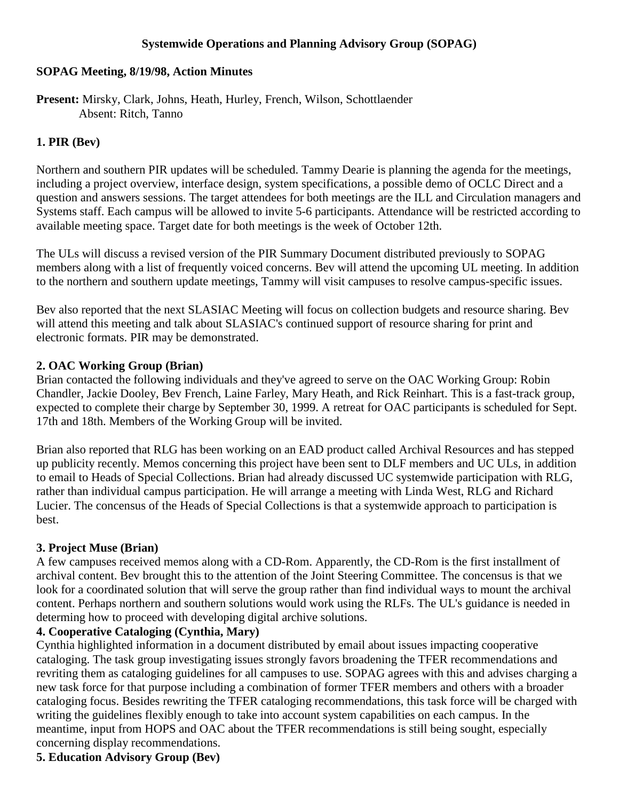## **Systemwide Operations and Planning Advisory Group (SOPAG)**

#### **SOPAG Meeting, 8/19/98, Action Minutes**

**Present:** Mirsky, Clark, Johns, Heath, Hurley, French, Wilson, Schottlaender Absent: Ritch, Tanno

## **1. PIR (Bev)**

Northern and southern PIR updates will be scheduled. Tammy Dearie is planning the agenda for the meetings, including a project overview, interface design, system specifications, a possible demo of OCLC Direct and a question and answers sessions. The target attendees for both meetings are the ILL and Circulation managers and Systems staff. Each campus will be allowed to invite 5-6 participants. Attendance will be restricted according to available meeting space. Target date for both meetings is the week of October 12th.

The ULs will discuss a revised version of the PIR Summary Document distributed previously to SOPAG members along with a list of frequently voiced concerns. Bev will attend the upcoming UL meeting. In addition to the northern and southern update meetings, Tammy will visit campuses to resolve campus-specific issues.

Bev also reported that the next SLASIAC Meeting will focus on collection budgets and resource sharing. Bev will attend this meeting and talk about SLASIAC's continued support of resource sharing for print and electronic formats. PIR may be demonstrated.

## **2. OAC Working Group (Brian)**

Brian contacted the following individuals and they've agreed to serve on the OAC Working Group: Robin Chandler, Jackie Dooley, Bev French, Laine Farley, Mary Heath, and Rick Reinhart. This is a fast-track group, expected to complete their charge by September 30, 1999. A retreat for OAC participants is scheduled for Sept. 17th and 18th. Members of the Working Group will be invited.

Brian also reported that RLG has been working on an EAD product called Archival Resources and has stepped up publicity recently. Memos concerning this project have been sent to DLF members and UC ULs, in addition to email to Heads of Special Collections. Brian had already discussed UC systemwide participation with RLG, rather than individual campus participation. He will arrange a meeting with Linda West, RLG and Richard Lucier. The concensus of the Heads of Special Collections is that a systemwide approach to participation is best.

## **3. Project Muse (Brian)**

A few campuses received memos along with a CD-Rom. Apparently, the CD-Rom is the first installment of archival content. Bev brought this to the attention of the Joint Steering Committee. The concensus is that we look for a coordinated solution that will serve the group rather than find individual ways to mount the archival content. Perhaps northern and southern solutions would work using the RLFs. The UL's guidance is needed in determing how to proceed with developing digital archive solutions.

## **4. Cooperative Cataloging (Cynthia, Mary)**

Cynthia highlighted information in a document distributed by email about issues impacting cooperative cataloging. The task group investigating issues strongly favors broadening the TFER recommendations and revriting them as cataloging guidelines for all campuses to use. SOPAG agrees with this and advises charging a new task force for that purpose including a combination of former TFER members and others with a broader cataloging focus. Besides rewriting the TFER cataloging recommendations, this task force will be charged with writing the guidelines flexibly enough to take into account system capabilities on each campus. In the meantime, input from HOPS and OAC about the TFER recommendations is still being sought, especially concerning display recommendations.

# **5. Education Advisory Group (Bev)**